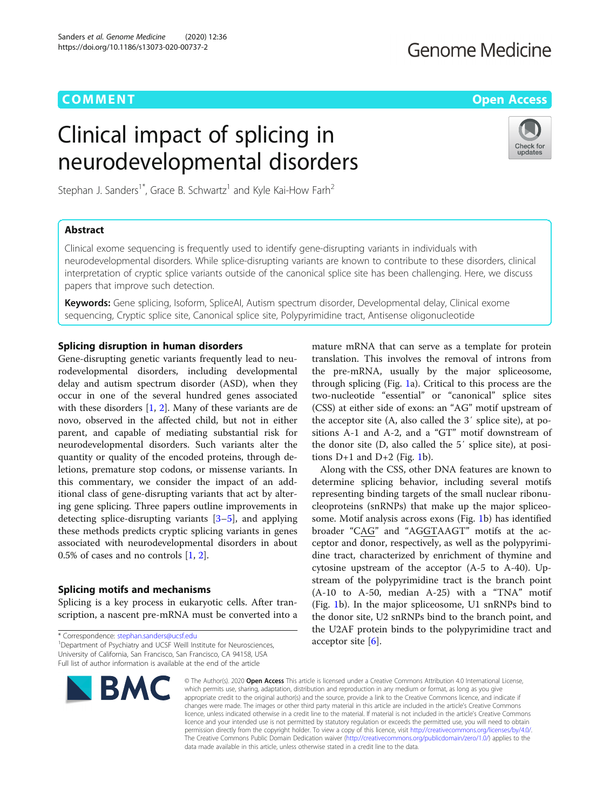# **COMMENT COMMENT COMMENT COMMENT**

# **Genome Medicine**

Check for update:

# Clinical impact of splicing in neurodevelopmental disorders

Stephan J. Sanders<sup>1\*</sup>, Grace B. Schwartz<sup>1</sup> and Kyle Kai-How Farh<sup>2</sup>

# Abstract

Clinical exome sequencing is frequently used to identify gene-disrupting variants in individuals with neurodevelopmental disorders. While splice-disrupting variants are known to contribute to these disorders, clinical interpretation of cryptic splice variants outside of the canonical splice site has been challenging. Here, we discuss papers that improve such detection.

Keywords: Gene splicing, Isoform, SpliceAI, Autism spectrum disorder, Developmental delay, Clinical exome sequencing, Cryptic splice site, Canonical splice site, Polypyrimidine tract, Antisense oligonucleotide

# Splicing disruption in human disorders

Gene-disrupting genetic variants frequently lead to neurodevelopmental disorders, including developmental delay and autism spectrum disorder (ASD), when they occur in one of the several hundred genes associated with these disorders [\[1](#page-3-0), [2](#page-3-0)]. Many of these variants are de novo, observed in the affected child, but not in either parent, and capable of mediating substantial risk for neurodevelopmental disorders. Such variants alter the quantity or quality of the encoded proteins, through deletions, premature stop codons, or missense variants. In this commentary, we consider the impact of an additional class of gene-disrupting variants that act by altering gene splicing. Three papers outline improvements in detecting splice-disrupting variants [[3](#page-3-0)–[5\]](#page-3-0), and applying these methods predicts cryptic splicing variants in genes associated with neurodevelopmental disorders in about 0.5% of cases and no controls [[1,](#page-3-0) [2\]](#page-3-0).

## Splicing motifs and mechanisms

Splicing is a key process in eukaryotic cells. After transcription, a nascent pre-mRNA must be converted into a

\* Correspondence: [stephan.sanders@ucsf.edu](mailto:stephan.sanders@ucsf.edu) <sup>1</sup> <sup>1</sup> Department of Psychiatry and UCSF Weill Institute for Neurosciences, University of California, San Francisco, San Francisco, CA 94158, USA Full list of author information is available at the end of the article



mature mRNA that can serve as a template for protein translation. This involves the removal of introns from the pre-mRNA, usually by the major spliceosome, through splicing (Fig. [1a](#page-1-0)). Critical to this process are the two-nucleotide "essential" or "canonical" splice sites (CSS) at either side of exons: an "AG" motif upstream of the acceptor site (A, also called the 3′ splice site), at positions A-1 and A-2, and a "GT" motif downstream of the donor site (D, also called the 5′ splice site), at positions  $D+1$  and  $D+2$  (Fig. [1b](#page-1-0)).

Along with the CSS, other DNA features are known to determine splicing behavior, including several motifs representing binding targets of the small nuclear ribonucleoproteins (snRNPs) that make up the major spliceosome. Motif analysis across exons (Fig. [1](#page-1-0)b) has identified broader "CAG" and "AGGTAAGT" motifs at the acceptor and donor, respectively, as well as the polypyrimidine tract, characterized by enrichment of thymine and cytosine upstream of the acceptor (A-5 to A-40). Upstream of the polypyrimidine tract is the branch point (A-10 to A-50, median A-25) with a "TNA" motif (Fig. [1](#page-1-0)b). In the major spliceosome, U1 snRNPs bind to the donor site, U2 snRNPs bind to the branch point, and the U2AF protein binds to the polypyrimidine tract and acceptor site  $[6]$  $[6]$ .

© The Author(s), 2020 **Open Access** This article is licensed under a Creative Commons Attribution 4.0 International License, which permits use, sharing, adaptation, distribution and reproduction in any medium or format, as long as you give appropriate credit to the original author(s) and the source, provide a link to the Creative Commons licence, and indicate if changes were made. The images or other third party material in this article are included in the article's Creative Commons licence, unless indicated otherwise in a credit line to the material. If material is not included in the article's Creative Commons licence and your intended use is not permitted by statutory regulation or exceeds the permitted use, you will need to obtain permission directly from the copyright holder. To view a copy of this licence, visit [http://creativecommons.org/licenses/by/4.0/.](http://creativecommons.org/licenses/by/4.0/) The Creative Commons Public Domain Dedication waiver [\(http://creativecommons.org/publicdomain/zero/1.0/](http://creativecommons.org/publicdomain/zero/1.0/)) applies to the data made available in this article, unless otherwise stated in a credit line to the data.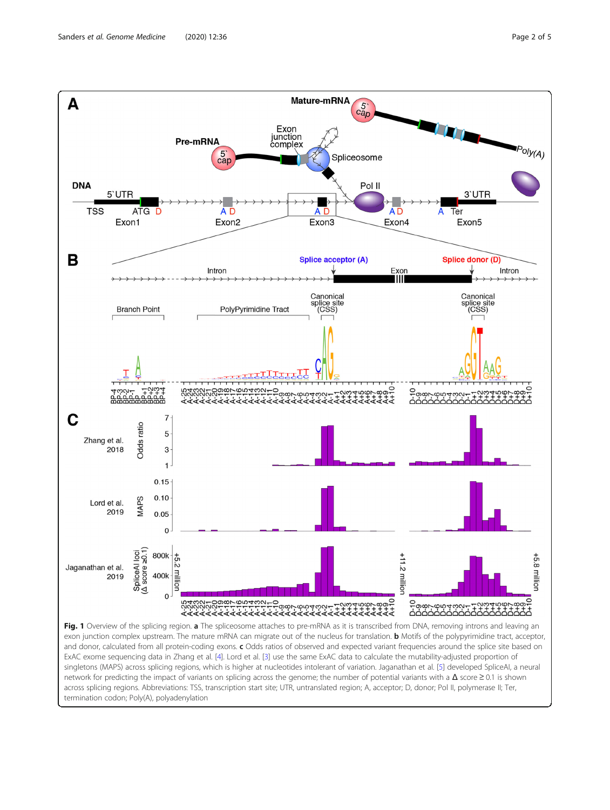<span id="page-1-0"></span>

across splicing regions. Abbreviations: TSS, transcription start site; UTR, untranslated region; A, acceptor; D, donor; Pol II, polymerase II; Ter, termination codon; Poly(A), polyadenylation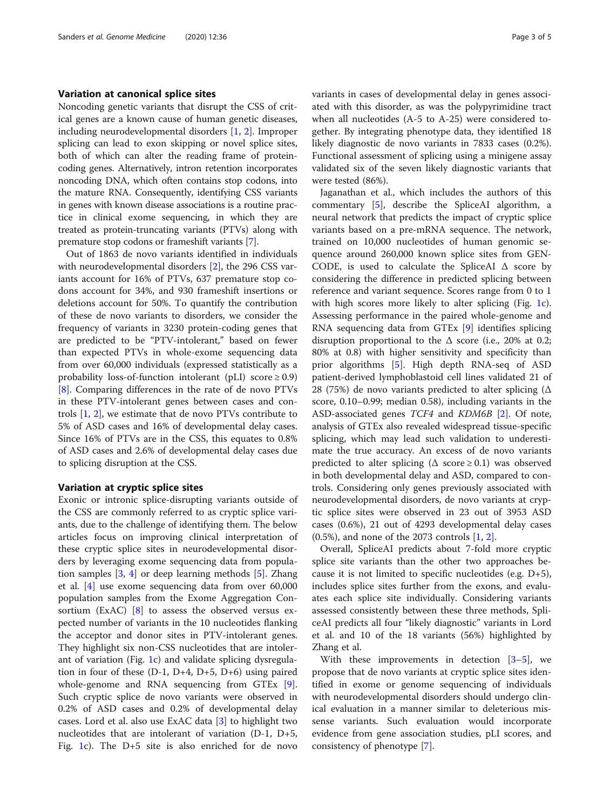### Variation at canonical splice sites

Noncoding genetic variants that disrupt the CSS of critical genes are a known cause of human genetic diseases, including neurodevelopmental disorders [\[1](#page-3-0), [2](#page-3-0)]. Improper splicing can lead to exon skipping or novel splice sites, both of which can alter the reading frame of proteincoding genes. Alternatively, intron retention incorporates noncoding DNA, which often contains stop codons, into the mature RNA. Consequently, identifying CSS variants in genes with known disease associations is a routine practice in clinical exome sequencing, in which they are treated as protein-truncating variants (PTVs) along with premature stop codons or frameshift variants [[7\]](#page-3-0).

Out of 1863 de novo variants identified in individuals with neurodevelopmental disorders [[2\]](#page-3-0), the 296 CSS variants account for 16% of PTVs, 637 premature stop codons account for 34%, and 930 frameshift insertions or deletions account for 50%. To quantify the contribution of these de novo variants to disorders, we consider the frequency of variants in 3230 protein-coding genes that are predicted to be "PTV-intolerant," based on fewer than expected PTVs in whole-exome sequencing data from over 60,000 individuals (expressed statistically as a probability loss-of-function intolerant (pLI) score  $\geq 0.9$ ) [[8\]](#page-3-0). Comparing differences in the rate of de novo PTVs in these PTV-intolerant genes between cases and controls [\[1](#page-3-0), [2](#page-3-0)], we estimate that de novo PTVs contribute to 5% of ASD cases and 16% of developmental delay cases. Since 16% of PTVs are in the CSS, this equates to 0.8% of ASD cases and 2.6% of developmental delay cases due to splicing disruption at the CSS.

#### Variation at cryptic splice sites

Exonic or intronic splice-disrupting variants outside of the CSS are commonly referred to as cryptic splice variants, due to the challenge of identifying them. The below articles focus on improving clinical interpretation of these cryptic splice sites in neurodevelopmental disorders by leveraging exome sequencing data from population samples [\[3](#page-3-0), [4\]](#page-3-0) or deep learning methods [[5\]](#page-3-0). Zhang et al. [\[4](#page-3-0)] use exome sequencing data from over 60,000 population samples from the Exome Aggregation Consortium (ExAC) [\[8](#page-3-0)] to assess the observed versus expected number of variants in the 10 nucleotides flanking the acceptor and donor sites in PTV-intolerant genes. They highlight six non-CSS nucleotides that are intolerant of variation (Fig. [1c](#page-1-0)) and validate splicing dysregulation in four of these (D-1, D+4, D+5, D+6) using paired whole-genome and RNA sequencing from GTEx [\[9](#page-4-0)]. Such cryptic splice de novo variants were observed in 0.2% of ASD cases and 0.2% of developmental delay cases. Lord et al. also use ExAC data [[3\]](#page-3-0) to highlight two nucleotides that are intolerant of variation (D-1, D+5, Fig. [1c](#page-1-0)). The D+5 site is also enriched for de novo variants in cases of developmental delay in genes associated with this disorder, as was the polypyrimidine tract when all nucleotides (A-5 to A-25) were considered together. By integrating phenotype data, they identified 18 likely diagnostic de novo variants in 7833 cases (0.2%). Functional assessment of splicing using a minigene assay validated six of the seven likely diagnostic variants that were tested (86%).

Jaganathan et al., which includes the authors of this commentary [\[5](#page-3-0)], describe the SpliceAI algorithm, a neural network that predicts the impact of cryptic splice variants based on a pre-mRNA sequence. The network, trained on 10,000 nucleotides of human genomic sequence around 260,000 known splice sites from GEN-CODE, is used to calculate the SpliceAI  $\Delta$  score by considering the difference in predicted splicing between reference and variant sequence. Scores range from 0 to 1 with high scores more likely to alter splicing (Fig. [1c](#page-1-0)). Assessing performance in the paired whole-genome and RNA sequencing data from GTEx [[9](#page-4-0)] identifies splicing disruption proportional to the  $\Delta$  score (i.e., 20% at 0.2; 80% at 0.8) with higher sensitivity and specificity than prior algorithms [[5](#page-3-0)]. High depth RNA-seq of ASD patient-derived lymphoblastoid cell lines validated 21 of 28 (75%) de novo variants predicted to alter splicing ( $\Delta$ score, 0.10–0.99; median 0.58), including variants in the ASD-associated genes TCF4 and KDM6B [\[2](#page-3-0)]. Of note, analysis of GTEx also revealed widespread tissue-specific splicing, which may lead such validation to underestimate the true accuracy. An excess of de novo variants predicted to alter splicing ( $\Delta$  score  $\geq$  0.1) was observed in both developmental delay and ASD, compared to controls. Considering only genes previously associated with neurodevelopmental disorders, de novo variants at cryptic splice sites were observed in 23 out of 3953 ASD cases (0.6%), 21 out of 4293 developmental delay cases (0.5%), and none of the 2073 controls [[1,](#page-3-0) [2\]](#page-3-0).

Overall, SpliceAI predicts about 7-fold more cryptic splice site variants than the other two approaches because it is not limited to specific nucleotides (e.g. D+5), includes splice sites further from the exons, and evaluates each splice site individually. Considering variants assessed consistently between these three methods, SpliceAI predicts all four "likely diagnostic" variants in Lord et al. and 10 of the 18 variants (56%) highlighted by Zhang et al.

With these improvements in detection [[3](#page-3-0)–[5\]](#page-3-0), we propose that de novo variants at cryptic splice sites identified in exome or genome sequencing of individuals with neurodevelopmental disorders should undergo clinical evaluation in a manner similar to deleterious missense variants. Such evaluation would incorporate evidence from gene association studies, pLI scores, and consistency of phenotype [\[7](#page-3-0)].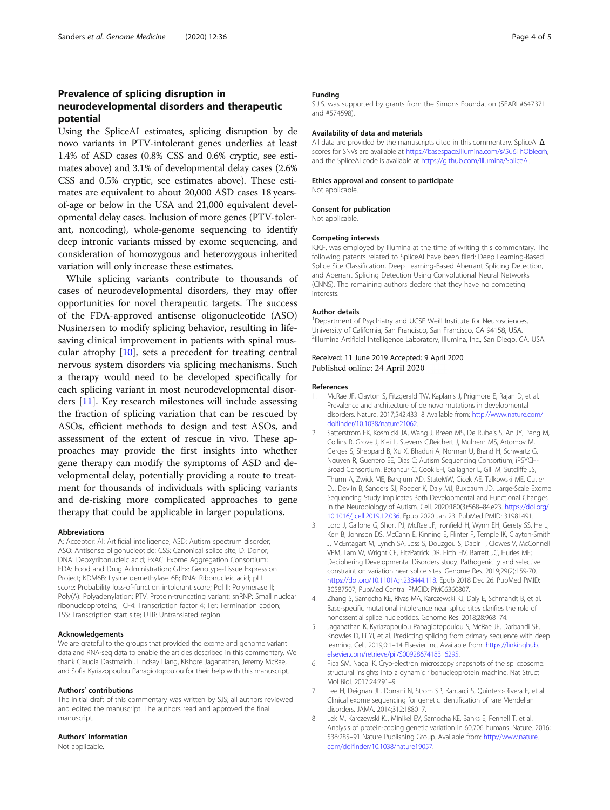# <span id="page-3-0"></span>Prevalence of splicing disruption in neurodevelopmental disorders and therapeutic potential

Using the SpliceAI estimates, splicing disruption by de novo variants in PTV-intolerant genes underlies at least 1.4% of ASD cases (0.8% CSS and 0.6% cryptic, see estimates above) and 3.1% of developmental delay cases (2.6% CSS and 0.5% cryptic, see estimates above). These estimates are equivalent to about 20,000 ASD cases 18 yearsof-age or below in the USA and 21,000 equivalent developmental delay cases. Inclusion of more genes (PTV-tolerant, noncoding), whole-genome sequencing to identify deep intronic variants missed by exome sequencing, and consideration of homozygous and heterozygous inherited variation will only increase these estimates.

While splicing variants contribute to thousands of cases of neurodevelopmental disorders, they may offer opportunities for novel therapeutic targets. The success of the FDA-approved antisense oligonucleotide (ASO) Nusinersen to modify splicing behavior, resulting in lifesaving clinical improvement in patients with spinal muscular atrophy [[10\]](#page-4-0), sets a precedent for treating central nervous system disorders via splicing mechanisms. Such a therapy would need to be developed specifically for each splicing variant in most neurodevelopmental disorders [\[11](#page-4-0)]. Key research milestones will include assessing the fraction of splicing variation that can be rescued by ASOs, efficient methods to design and test ASOs, and assessment of the extent of rescue in vivo. These approaches may provide the first insights into whether gene therapy can modify the symptoms of ASD and developmental delay, potentially providing a route to treatment for thousands of individuals with splicing variants and de-risking more complicated approaches to gene therapy that could be applicable in larger populations.

#### Abbreviations

A: Acceptor; AI: Artificial intelligence; ASD: Autism spectrum disorder; ASO: Antisense oligonucleotide; CSS: Canonical splice site; D: Donor; DNA: Deoxyribonucleic acid; ExAC: Exome Aggregation Consortium; FDA: Food and Drug Administration; GTEx: Genotype-Tissue Expression Project; KDM6B: Lysine demethylase 6B; RNA: Ribonucleic acid; pLI score: Probability loss-of-function intolerant score; Pol II: Polymerase II; Poly(A): Polyadenylation; PTV: Protein-truncating variant; snRNP: Small nuclear ribonucleoproteins; TCF4: Transcription factor 4; Ter: Termination codon; TSS: Transcription start site; UTR: Untranslated region

#### Acknowledgements

We are grateful to the groups that provided the exome and genome variant data and RNA-seq data to enable the articles described in this commentary. We thank Claudia Dastmalchi, Lindsay Liang, Kishore Jaganathan, Jeremy McRae, and Sofia Kyriazopoulou Panagiotopoulou for their help with this manuscript.

#### Authors' contributions

The initial draft of this commentary was written by SJS; all authors reviewed and edited the manuscript. The authors read and approved the final manuscript.

#### Authors' information

Not applicable.

#### Funding

S.J.S. was supported by grants from the Simons Foundation (SFARI #647371 and #574598).

#### Availability of data and materials

All data are provided by the manuscripts cited in this commentary. SpliceAl  $\Delta$ scores for SNVs are available at https://basespace.illumina.com/s/5u6ThOblecrh. and the SpliceAI code is available at [https://github.com/Illumina/SpliceAI.](https://github.com/Illumina/SpliceAI)

#### Ethics approval and consent to participate

Not applicable.

#### Consent for publication

Not applicable.

#### Competing interests

K.K.F. was employed by Illumina at the time of writing this commentary. The following patents related to SpliceAI have been filed: Deep Learning-Based Splice Site Classification, Deep Learning-Based Aberrant Splicing Detection, and Aberrant Splicing Detection Using Convolutional Neural Networks (CNNS). The remaining authors declare that they have no competing interests.

#### Author details

<sup>1</sup>Department of Psychiatry and UCSF Weill Institute for Neurosciences, University of California, San Francisco, San Francisco, CA 94158, USA. <sup>2</sup>Illumina Artificial Intelligence Laboratory, Illumina, Inc., San Diego, CA, USA

#### Received: 11 June 2019 Accepted: 9 April 2020 Published online: 24 April 2020

#### References

- McRae JF, Clayton S, Fitzgerald TW, Kaplanis J, Prigmore E, Rajan D, et al. Prevalence and architecture of de novo mutations in developmental disorders. Nature. 2017;542:433–8 Available from: [http://www.nature.com/](http://www.nature.com/doifinder/10.1038/nature21062) [doifinder/10.1038/nature21062](http://www.nature.com/doifinder/10.1038/nature21062).
- 2. Satterstrom FK, Kosmicki JA, Wang J, Breen MS, De Rubeis S, An JY, Peng M, Collins R, Grove J, Klei L, Stevens C,Reichert J, Mulhern MS, Artomov M, Gerges S, Sheppard B, Xu X, Bhaduri A, Norman U, Brand H, Schwartz G, Nguyen R, Guerrero EE, Dias C; Autism Sequencing Consortium; iPSYCH-Broad Consortium, Betancur C, Cook EH, Gallagher L, Gill M, Sutcliffe JS, Thurm A, Zwick ME, Børglum AD, StateMW, Cicek AE, Talkowski ME, Cutler DJ, Devlin B, Sanders SJ, Roeder K, Daly MJ, Buxbaum JD. Large-Scale Exome Sequencing Study Implicates Both Developmental and Functional Changes in the Neurobiology of Autism. Cell. 2020;180(3):568–84.e23. [https://doi.org/](https://doi.org/10.1016/j.cell.2019.12.036) [10.1016/j.cell.2019.12.036](https://doi.org/10.1016/j.cell.2019.12.036). Epub 2020 Jan 23. PubMed PMID: 31981491.
- 3. Lord J, Gallone G, Short PJ, McRae JF, Ironfield H, Wynn EH, Gerety SS, He L, Kerr B, Johnson DS, McCann E, Kinning E, Flinter F, Temple IK, Clayton-Smith J, McEntagart M, Lynch SA, Joss S, Douzgou S, Dabir T, Clowes V, McConnell VPM, Lam W, Wright CF, FitzPatrick DR, Firth HV, Barrett JC, Hurles ME; Deciphering Developmental Disorders study. Pathogenicity and selective constraint on variation near splice sites. Genome Res. 2019;29(2):159-70. [https://doi.org/10.1101/gr.238444.118.](https://doi.org/10.1101/gr.238444.118) Epub 2018 Dec 26. PubMed PMID: 30587507; PubMed Central PMCID: PMC6360807.
- 4. Zhang S, Samocha KE, Rivas MA, Karczewski KJ, Daly E, Schmandt B, et al. Base-specific mutational intolerance near splice sites clarifies the role of nonessential splice nucleotides. Genome Res. 2018;28:968–74.
- 5. Jaganathan K, Kyriazopoulou Panagiotopoulou S, McRae JF, Darbandi SF, Knowles D, Li YI, et al. Predicting splicing from primary sequence with deep learning. Cell. 2019;0:1–14 Elsevier Inc. Available from: [https://linkinghub.](https://linkinghub.elsevier.com/retrieve/pii/S0092867418316295) [elsevier.com/retrieve/pii/S0092867418316295.](https://linkinghub.elsevier.com/retrieve/pii/S0092867418316295)
- 6. Fica SM, Nagai K. Cryo-electron microscopy snapshots of the spliceosome: structural insights into a dynamic ribonucleoprotein machine. Nat Struct Mol Biol. 2017;24:791–9.
- 7. Lee H, Deignan JL, Dorrani N, Strom SP, Kantarci S, Quintero-Rivera F, et al. Clinical exome sequencing for genetic identification of rare Mendelian disorders. JAMA. 2014;312:1880–7.
- 8. Lek M, Karczewski KJ, Minikel EV, Samocha KE, Banks E, Fennell T, et al. Analysis of protein-coding genetic variation in 60,706 humans. Nature. 2016; 536:285–91 Nature Publishing Group. Available from: [http://www.nature.](http://www.nature.com/doifinder/10.1038/nature19057) [com/doifinder/10.1038/nature19057](http://www.nature.com/doifinder/10.1038/nature19057).